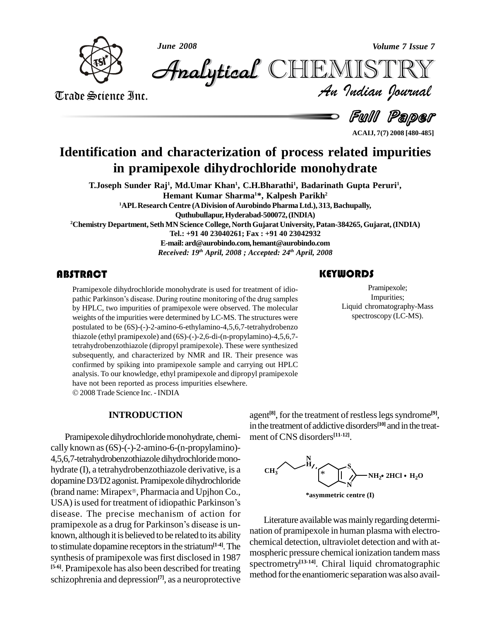

*June 2008 Volume 7 Issue 7*

*Volume 7 Issue 7*<br>IISTRY<br>Indian Iournal **Analytical CHEMIST** 

Trade Science Inc.

d *Full Paper* 

**ACAIJ, 7(7) 2008 [480-485]**

# **Identification and characterization of process related impurities in pramipexole dihydrochloride monohydrate**

**T.Joseph Sunder Raj 1 , Md.Umar Khan 1 , C.H.Bharathi<sup>1</sup> , Badarinath Gupta Peruri<sup>1</sup> , Hemant Kumar Sharma <sup>1</sup>\*, Kalpesh Parikh 2**

**<sup>1</sup>APLResearch Centre (ADivision ofAurobindo PharmaLtd.), 313,Bachupally, Quthubullapur,Hyderabad-500072,(INDIA)**

**<sup>2</sup>Chemistry Department, SethMN Science College, NorthGujarat University, Patan-384265,Gujarat,(INDIA)**

**Tel.: +91 40 23040261; Fax : +91 40 23042932**

**E-mail:[ard@aurobindo.com,hemant](mailto:ard@aurobindo.com,)[@aurobindo.com](mailto:hemant@aurobindo.com)** *Received: 19 th April, 2008 ; Accepted: 24 th April, 2008*

Pramipexole dihydrochloride monohydrate is used for treatment of idio-<br>pathic Parkinson's disease. During routine monitoring of the drug samples<br>by HPLC, two impurities of pramipexole were observed. The molecular Pramipexole dihydrochloride monohydrate is used for treatment of idio by HPLC, two impurities of pramipexole were observed. The molecular weights of the impurities were determined by LC-MS. The structures were postulated to be (6S)-(-)-2-amino-6-ethylamino-4,5,6,7-tetrahydrobenzo thiazole (ethyl pramipexole) and (6S)-(-)-2,6-di-(n-propylamino)-4,5,6,7 tetrahydrobenzothiazole (dipropyl pramipexole). These were synthesized subsequently, and characterized by NMR and IR. Their presence was confirmed by spiking into pramipexole sample and carrying out HPLC analysis. To our knowledge, ethyl pramipexole and dipropyl pramipexole have not been reported as process impurities elsewhere. 2008Trade Science Inc. -INDIA

#### **INTRODUCTION**

Pramipexole dihydrochloride monohydrate, chemically known as(6S)-(-)-2-amino-6-(n-propylamino)- 4,5,6,7-tetrahydrobenzothiazoledihydrochloridemono hydrate (I), a tetrahydrobenzothiazole derivative, is a CH<sub>3</sub> dopamine D3/D2 agonist. Pramipexole dihydrochloride (brand name: Mirapex®, Pharmacia and Upjhon Co., USA) is used for treatment of idiopathic Parkinson's disease. The precise mechanism of action for USA) is used for treatment of idiopathic Parkinson's<br>disease. The precise mechanism of action for<br>pramipexole as a drug for Parkinson's disease is unknown, although it is believed to be related to its ability<br>the principal detection, ultraviolet detection and with atto stimulate dopamine receptorsin the striatum**[1-4]**.The synthesis of pramipexole was first disclosed in 1987 **[5-6]**. Pramipexole has also been described for treating schizophrenia and depression **[7]**, as a neuroprotective

Pramipexole;<br>
Impurities;<br>
Liquid chromatography-Mass Pramipexole; Impurities; spectroscopy (LC-MS).

agent<sup>[8]</sup>, for the treatment of restless legs syndrome<sup>[9]</sup>, inthe treatmentof addictive disorders **[10]** andin the treat ment of CNS disorders **[11-12]**.



Literature available was mainly regarding determination of pramipexole in human plasma with electro mospheric pressure chemical ionization tandem mass spectrometry **[13-14]**. Chiral liquid chromatographic method for the enantiomeric separation was also avail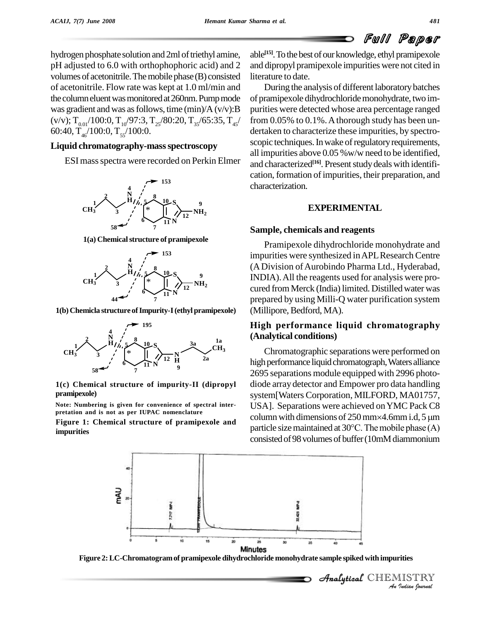hydrogen phosphate solution and 2ml of triethyl amine, pH adjusted to 6.0 with orthophophoric acid) and 2 volumes of acetonitrile. The mobile phase (B) consisted of acetonitrile. Flow rate was kept at 1.0 ml/min and the column eluent was monitored at 260nm. Pump mode was gradient and was as follows, time  $(\min)/A(v/v)$ : B  $(v/v); T_{0.01}/100:0, T_{10}/97:3, T_{25}/80:20, T_{35}/65:35, T_{45}/$  from 60:40, T<sub>46</sub>/100:0, T<sub>55</sub>/100:0.

### **Liquid chromatography-massspectroscopy**

ESI massspectra were recorded on Perkin Elmer



**1(a) Chemicalstructure of pramipexole**



**1(b) Chemicla structure ofImpurity-I(ethyl pramipexole)**



**1(c) Chemical structure of impurity-II (dipropyl pramipexole)**

**Note: Numbering is given for convenience of spectral inter pretation and isnot as per IUPAC nomenclature**

**Figure 1: Chemical structure of pramipexole and impurities**

able<sup>[15]</sup>. To the best of our knowledge, ethyl pramipexole and dipropyl pramipexole impurities were not cited in literature to date.

During the analysis of different laboratorybatches of pramipexole dihydrochloridemonohydrate, two im purities were detected whose area percentage ranged  $/$  from 0.05% to 0.1%. A thorough study has been undertaken to characterize these impurities, by spectro scopic techniques. In wake of regulatory requirements, all impurities above 0.05 %w/w need to be identified, and characterized<sup>[16]</sup>. Present study deals with identification, formation of impurities, their preparation, and characterization.

#### **EXPERIMENTAL**

#### **Sample, chemicals and reagents**

Pramipexole dihydrochloride monohydrate and impurities were synthesized inAPLResearch Centre (ADivision ofAurobindo Pharma Ltd., Hyderabad, INDIA).All the reagents used for analysis were pro cured from Merck (India) limited. Distilled water was prepared by using Milli-Q water purification system (Millipore, Bedford, MA).

### **High performance liquid chromatography (Analytical conditions)**

Chromatographic separations were performed on high performance liquid chromatograph, Waters alliance 2695 separations module equipped with 2996 photo diode array detector and Empower pro data handling system[Waters Corporation, MILFORD, MA01757,<br>USA]. Separations were achieved on YMC Pack C8<br>column with dimensions of 250 mm×4.6mm i.d, 5 µm USA]. Separations were achieved onYMC Pack C8 column with dimensions of 250 mm×4.6mm i.d, 5  $\mu$ m<br>particle size maintained at 30°C. The mobile phase (A) consisted of 98 volumes of buffer (10mM diammonium



**Figure 2:LC-Chromatogramof pramipexole dihydrochloride monohydrate sample spiked with impurities**

 *Indian Journal* Analytical CHEMISTRY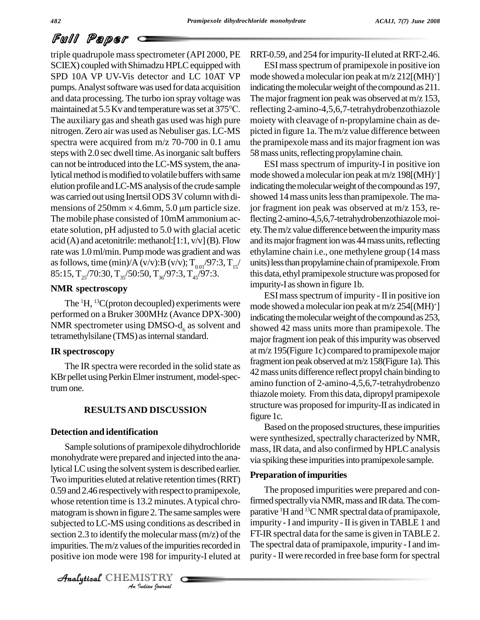# Full Paper

triple quadrupole mass spectrometer (API 2000, PE SCIEX) coupled with Shimadzu HPLC equipped with SPD 10A VP UV-Vis detector and LC 10AT VP pumps. Analyst software was used for data acquisition and data processing. The turbo ion spray voltage was pumps. Analyst software was used for data acquisition in and data processing. The turbo ion spray voltage was The maintained at 5.5 Kv and temperature was set at 375°C. The auxiliary gas and sheath gas used was high pure nitrogen. Zero air was used as Nebuliser gas. LC-MS spectra were acquired from m/z 70-700 in 0.1 amu steps with 2.0 sec dwell time. As inorganic salt buffers can not be introduced into the LC-MS system, the analytical method is modified to volatile buffers with same elution profile and LC-MS analysis of the crude sample indica<br>was carried out using Inertsil ODS 3V column with di-showe<br>mensions of 250mm × 4.6mm, 5.0 µm particle size. jor fra The mobile phase consisted of 10mM ammonium ac etate solution, pH adjusted to 5.0 with glacial acetic acid (A) and acetonitrile: methanol:  $[1:1, v/v]$  (B). Flow rate was 1.0 ml/min. Pump mode was gradient and was as follows, time (min)/A (v/v):B (v/v);  $T_{0.01}/97:3, T_{15}/$  un 85:15,  $T_{25}/70:30$ ,  $T_{35}/50:50$ ,  $T_{36}/97:3$ ,  $T_{45}/97:3$ .

#### **NMR spectroscopy**

The  ${}^{1}H$ ,  ${}^{13}C$ (proton decoupled) experiments were  $m$  mode performed on aBruker 300MHz (Avance DPX-300) NMR spectrometer using DMSO- $d<sub>6</sub>$  as solvent and tetramethylsilane (TMS) as internal standard.

#### **IR spectroscopy**

The IR spectra were recorded in the solid state as KBr pellet using Perkin Elmer instrument, model-spectrumone.

### **RESULTSAND DISCUSSION**

#### **Detection and identification**

subjected to LC-MS using conditions as described in impuri *Indian Indiana*<br>*Indian Indian*<br>*Indian bournal* Sample solutions of pramipexole dihydrochloride monohydrate were prepared and injected into the analytical LC using the solvent system is described earlier. Two impurities eluted at relative retention times (RRT) 0.59 and 2.46 respectively with respect to pramipexole, whose retention time is 13.2 minutes. A typical chromatogram is shown in figure 2. The same samples were section 2.3 to identify the molecular mass  $(m/z)$  of the impurities. The m/z values of the impurities recorded in positive ion mode were 198 for impurity-I eluted at

CHEMISTRY COMMENT

RRT-0.59, and 254 for impurity-II eluted at RRT-2.46.

ESImassspectrum of pramipexole in positive ion mode showed amolecularion peak atm/z 212[(MH) <sup>+</sup>] indicating the molecular weight of the compound as 211. The major fragment ion peak was observed at  $m/z$  153, reflecting 2-amino-4,5,6,7-tetrahydrobenzothiazole moiety with cleavage of n-propylamine chain as de picted in figure 1a. The m/z value difference between the pramipexole mass and its major fragment ion was 58 mass units, reflecting propylamine chain.

/ units)lessthanpropylaminechainofpramipexole.From ESI mass spectrum of impurity-I in positive ion mode showed amolecularion peak atm/z 198[(MH) <sup>+</sup>] indicating the molecular weight of the compound as 197, showed 14 mass units less than pramipexole. The major fragment ion peak was observed at m/z 153, reflecting2-amino-4,5,6,7-tetrahydrobenzothiazolemoi ety. The m/z value difference between the impurity mass and its major fragment ion was 44 mass units, reflecting ethylamine chain i.e., one methylene group (14 mass this data, ethyl pramipexole structurewas proposed for impurity-I asshown in figure 1b.

ESImassspectrum of impurity - IIin positive ion mode showed amolecularion peak atm/z 254[(MH) <sup>+</sup>] indicating the molecular weight of the compound as 253, showed 42 mass units more than pramipexole. The major fragment ion peak of this impurity was observed atm/z 195(Figure 1c) compared to pramipexolemajor fragment ion peak observed at m/z 158(Figure 1a). This 42mass units difference reflect propyl chain binding to amino function of 2-amino-4,5,6,7-tetrahydrobenzo thiazolemoiety. Fromthis data, dipropyl pramipexole structure was proposed for impurity-II as indicated in figure 1c.

Based on the proposed structures, these impurities were synthesized, spectrally characterized by NMR, mass, IR data, and also confirmed by HPLC analysis via spiking these impurities into pramipexole sample.

#### **Preparation ofimpurities**

The proposed impurities were prepared and confirmed spectrally via NMR, mass and IR data. The comparative <sup>1</sup>H and <sup>13</sup>C NMR spectral data of pramipaxole, impurity - I and impurity - II is given in TABLE 1 and FT-IR spectral data for the same is given in TABLE 2. The spectral data of pramipaxole, impurity -I and im purity - II were recorded in free base form for spectral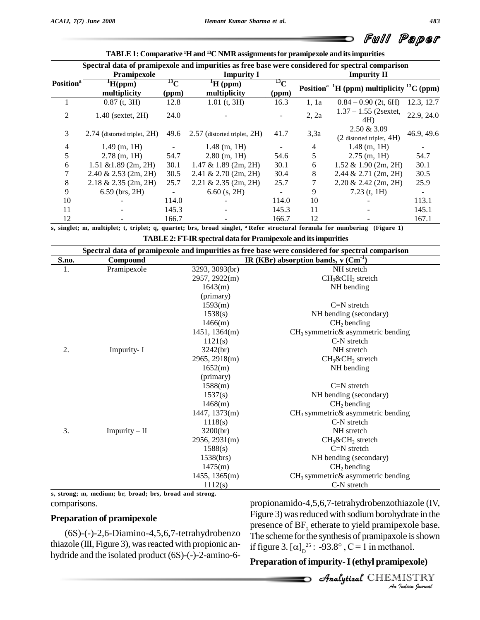|                       | Spectral data of pramipexole and impurities as free base were considered for spectral comparison |                    |                                    |                    |                    |                                                                    |            |  |
|-----------------------|--------------------------------------------------------------------------------------------------|--------------------|------------------------------------|--------------------|--------------------|--------------------------------------------------------------------|------------|--|
|                       | Pramipexole                                                                                      |                    | <b>Impurity I</b>                  |                    | <b>Impurity II</b> |                                                                    |            |  |
| Position <sup>a</sup> | $\mathrm{H}(\text{ppm})$<br>multiplicity                                                         | $^{13}$ C<br>(ppm) | $\mathrm{H}$ (ppm)<br>multiplicity | $^{13}$ C<br>(ppm) |                    | Position <sup>a 1</sup> H (ppm) multiplicity <sup>13</sup> C (ppm) |            |  |
|                       | $0.87$ (t, 3H)                                                                                   | 12.8               | $1.01$ (t, 3H)                     | 16.3               | 1.1a               | $0.84 - 0.90$ (2t, 6H)                                             | 12.3, 12.7 |  |
| 2                     | $1.40$ (sextet, $2H$ )                                                                           | 24.0               |                                    |                    | 2, 2a              | $1.37 - 1.55$ (2sextet,<br>4H)                                     | 22.9, 24.0 |  |
| 3                     | $2.74$ (distorted triplet, $2H$ )                                                                | 49.6               | $2.57$ (distorted triplet, $2H$ )  | 41.7               | 3,3a               | 2.50 & 3.09<br>(2 distorted triplet, 4H)                           | 46.9, 49.6 |  |
| 4                     | $1.49$ (m, 1H)                                                                                   |                    | $1.48$ (m, 1H)                     |                    | 4                  | $1.48$ (m, 1H)                                                     |            |  |
| 5                     | $2.78$ (m, 1H)                                                                                   | 54.7               | $2.80$ (m, 1H)                     | 54.6               | 5                  | $2.75$ (m, 1H)                                                     | 54.7       |  |
| 6                     | $1.51 \& 1.89$ (2m, 2H)                                                                          | 30.1               | $1.47 \& 1.89 (2m, 2H)$            | 30.1               | 6                  | $1.52 \& 1.90 (2m, 2H)$                                            | 30.1       |  |
|                       | $2.40 \& 2.53$ (2m, 2H)                                                                          | 30.5               | $2.41 \& 2.70 (2m, 2H)$            | 30.4               | 8                  | $2.44 \& 2.71$ (2m, 2H)                                            | 30.5       |  |
| 8                     | $2.18 \& 2.35$ (2m, 2H)                                                                          | 25.7               | $2.21 \& 2.35 \ (2m, 2H)$          | 25.7               | 7                  | $2.20 \& 2.42$ (2m, 2H)                                            | 25.9       |  |
| 9                     | $6.59$ (brs, 2H)                                                                                 |                    | $6.60$ (s, 2H)                     |                    | 9                  | $7.23$ (t, 1H)                                                     |            |  |
| 10                    |                                                                                                  | 114.0              |                                    | 114.0              | 10                 |                                                                    | 113.1      |  |
| 11                    |                                                                                                  | 145.3              |                                    | 145.3              | 11                 |                                                                    | 145.1      |  |
| 12                    |                                                                                                  | 166.7              |                                    | 166.7              | 12                 |                                                                    | 167.1      |  |

s, singlet; m, multiplet; t, triplet; q, quartet; brs, broad singlet, a Refer structural formula for numbering (Figure 1)

**TABLE2: FT-IR spectral data forPramipexole and itsimpurities**

| Spectral data of pramipexole and impurities as free base were considered for spectral comparison |                 |                                                    |                                      |  |  |  |
|--------------------------------------------------------------------------------------------------|-----------------|----------------------------------------------------|--------------------------------------|--|--|--|
| S.no.                                                                                            | Compound        | IR (KBr) absorption bands, $v$ (Cm <sup>-1</sup> ) |                                      |  |  |  |
| 1.                                                                                               | Pramipexole     | 3293, 3093(br)                                     | NH stretch                           |  |  |  |
|                                                                                                  |                 | 2957, 2922(m)                                      | $CH_3\&CH_2$ stretch                 |  |  |  |
|                                                                                                  |                 | 1643(m)                                            | NH bending                           |  |  |  |
|                                                                                                  |                 | (primary)                                          |                                      |  |  |  |
|                                                                                                  |                 | 1593(m)                                            | $C=N$ stretch                        |  |  |  |
|                                                                                                  |                 | 1538(s)                                            | NH bending (secondary)               |  |  |  |
|                                                                                                  |                 | 1466(m)                                            | $CH2$ bending                        |  |  |  |
|                                                                                                  |                 | 1451, 1364(m)                                      | $CH3$ symmetric & asymmetric bending |  |  |  |
|                                                                                                  |                 | 1121(s)                                            | C-N stretch                          |  |  |  |
| 2.                                                                                               | Impurity- I     | 3242(br)                                           | NH stretch                           |  |  |  |
|                                                                                                  |                 | 2965, 2918(m)                                      | $CH_3\&CH_2$ stretch                 |  |  |  |
|                                                                                                  |                 | 1652(m)                                            | NH bending                           |  |  |  |
|                                                                                                  |                 | (primary)                                          |                                      |  |  |  |
|                                                                                                  |                 | 1588(m)                                            | $C=N$ stretch                        |  |  |  |
|                                                                                                  |                 | 1537(s)                                            | NH bending (secondary)               |  |  |  |
|                                                                                                  |                 | 1468(m)                                            | $CH2$ bending                        |  |  |  |
|                                                                                                  |                 | 1447, 1373(m)                                      | $CH3$ symmetric & asymmetric bending |  |  |  |
|                                                                                                  |                 | 1118(s)                                            | C-N stretch                          |  |  |  |
| 3.                                                                                               | $Impurity - II$ | 3200(br)                                           | NH stretch                           |  |  |  |
|                                                                                                  |                 | 2956, 2931(m)                                      | $CH_3\&CH_2$ stretch                 |  |  |  |
|                                                                                                  |                 | 1588(s)                                            | $C=N$ stretch                        |  |  |  |
|                                                                                                  |                 | 1538(brs)                                          | NH bending (secondary)               |  |  |  |
|                                                                                                  |                 | 1475(m)                                            | $CH2$ bending                        |  |  |  |
|                                                                                                  |                 | 1455, 1365(m)                                      | $CH3$ symmetric & asymmetric bending |  |  |  |
|                                                                                                  |                 | 1112(s)                                            | C-N stretch                          |  |  |  |

comparisons. **s, strong; m, medium; br, broad; brs, broad and strong.**

#### **Preparation of pramipexole**

(6S)-(-)-2,6-Diamino-4,5,6,7-tetrahydrobenzo thiazole (III, Figure 3), was reacted with propionic anhydride and the isolated product (6S)-(-)-2-amino-6-

*A* And *A* Denomine the Cooler *Indian*<br>**Indian**<br>**Indian**<br>**IISTRY**<br>*IISTRY*<br>*Indian bournal* propionamido-4,5,6,7-tetrahydrobenzothiazole (IV, Figure 3) was reduced with sodium borohydrate in the presence of BF<sub>3</sub> etherate to yield pramipexole base.<br>The scheme for the synthesis of pramipaxole is shown<br>if figure 3.  $[\alpha]_n^{25}$ : -93.8°, C = 1 in methanol. presence of BF<sub>3</sub> etheral<br>The scheme for the syntle<br>if figure 3.  $[\alpha]_D^{25}$ : -93.

## **Preparation of impurity-I(ethyl pramipexole)**

CHEMISTRY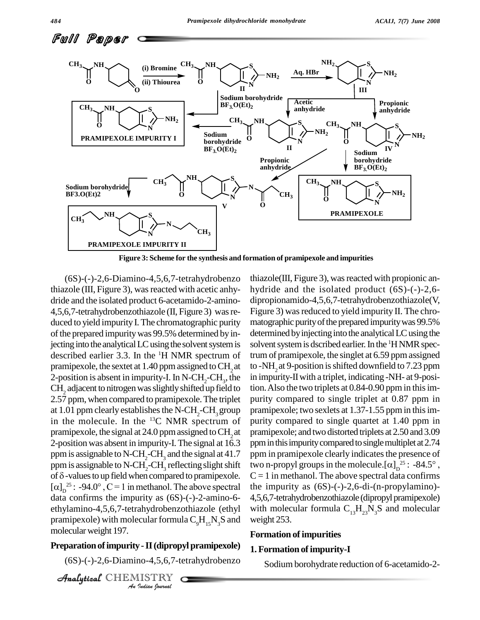

**Figure 3: Scheme for the synthesis and formation of pramipexole and impurities**

pramipexole) with molecular formula  $C_9H_{15}N_3S$  and weight *I*<br>*I* - **II (diprop**)<br>no-4,5,6,7-te<br>IISTRY<br>*Indian Iournal* (6S)-(-)-2,6-Diamino-4,5,6,7-tetrahydrobenzo thiazole (III, Figure 3), was reacted with acetic anhydride and the isolated product 6-acetamido-2-amino- 4,5,6,7-tetrahydrobenzothiazole (II, Figure 3) wasre duced to yield impurity I. The chromatographic purity of the prepared impurity was 99.5% determined by injecting into the analytical LC using the solvent system is described earlier 3.3. In the <sup>1</sup>H NMR spectrum of trum of p pramipexole, the sextet at 1.40 ppm assigned to CH<sub>2</sub> at 2-position is absent in impurity-I. In N-CH<sub>2</sub>-CH<sub>3</sub>, the CH<sub>2</sub> adjacent to nitrogen was slightly shifted up field to 2.57 ppm, when compared to pramipexole. The triplet at 1.01 ppm clearly establishes the N-CH<sub>2</sub>-CH<sub>2</sub> group in the molecule. In the  $^{13}C$  NMR spectrum of purity co pramipexole, the signal at 24.0 ppm assigned to CH<sub>2</sub> at 2-position was absent in impurity-I.The signal at 16.3 ppm is assignable to N-CH<sub>2</sub>-CH<sub>3</sub> and the signal at 41.7 ppm in<br>ppm is assignable to N-CH<sub>2</sub>-CH<sub>3</sub> reflecting slight shift two n-<br>of  $\delta$ -values to up field when compared to pramipexole.  $C = 1$  is ppm is assignable to N-CH<sub>2</sub>-CH<sub>3</sub> reflecting slight shift of  $\delta$ -values to up field when compared to pramipexole. ppm is assignable to N-CH<sub>2</sub>-CH<sub>3</sub> reflecting slight shift<br>of  $\delta$ -values to up field when compared to pramipexole. C:<br> $[\alpha]_D^{25}$ : -94.0°, C = 1 in methanol. The above spectral the data confirms the impurity as (6S)-(-)-2-amino-6 ethylamino-4,5,6,7-tetrahydrobenzothiazole (ethyl molecularweight 197.

#### **Preparation of impurity - II (dipropyl pramipexole)**

(6S)-(-)-2,6-Diamino-4,5,6,7-tetrahydrobenzo

CHEMISTRY COMMENT

, the in impurity-IIwith a triplet, indicating -NH- at 9-posi $thiazole(III, Figure 3)$ , was reacted with propionic anhydride and the isolated product (6S)-(-)-2,6 dipropionamido-4,5,6,7-tetrahydrobenzothiazole(V, Figure 3) was reduced to yield impurity II. The chromatographic purity of the prepared impurity was 99.5% determined by injecting into the analytical LC using the solvent system is dscribed earlier. In the <sup>1</sup>H NMR spectrum of pramipexole, the singlet at 6.59 ppm assigned to -NH<sub>2</sub> at 9-position is shifted downfield to 7.23 ppm tion. Also the two triplets at  $0.84$ -0.90 ppm in this impurity compared to single triplet at 0.87 ppm in pramipexole; two sexlets at 1.37-1.55 ppm in this impurity compared to single quartet at 1.40 ppm in pramipexole; and two distorted triplets at 2.50 and 3.09 ppm in this impurity compared to single multiplet at 2.74 ppm in pramipexole clearly indicates the presence of ppm in this impurity compared to single multiplet at 2.74<br>ppm in pramipexole clearly indicates the presence of<br>two n-propyl groups in the molecule. $[\alpha]_D^{25}$ : -84.5°,  $C = 1$  in methanol. The above spectral data confirms the impurity as  $(6S)$ -(-)-2,6-di-(n-propylamino)-4,5,6,7-tetrahydrobenzothiazole (dipropylpramipexole) with molecular formula  $C_{13}H_{23}N_{3}S$  and molecular weight 253.

#### **Formation ofimpurities**

#### **1.Formation ofimpurity-I**

Sodium borohydrate reduction of 6-acetamido-2-

Full Paper